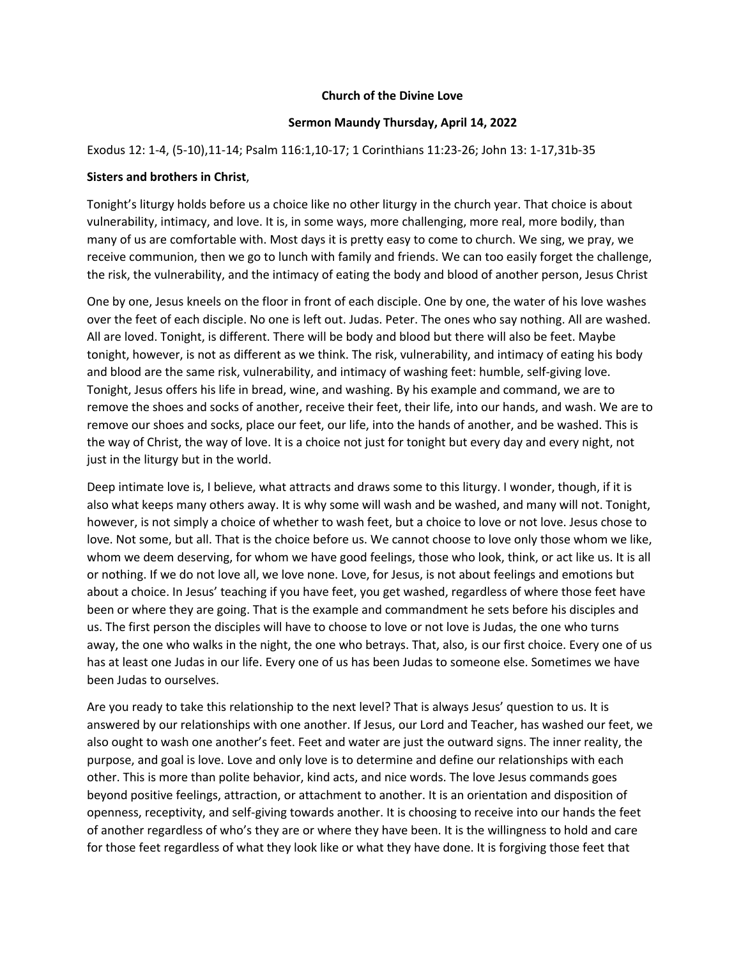## **Church of the Divine Love**

## **Sermon Maundy Thursday, April 14, 2022**

## Exodus 12: 1-4, (5-10),11-14; Psalm 116:1,10-17; 1 Corinthians 11:23-26; John 13: 1-17,31b-35

## **Sisters and brothers in Christ**,

Tonight's liturgy holds before us a choice like no other liturgy in the church year. That choice is about vulnerability, intimacy, and love. It is, in some ways, more challenging, more real, more bodily, than many of us are comfortable with. Most days it is pretty easy to come to church. We sing, we pray, we receive communion, then we go to lunch with family and friends. We can too easily forget the challenge, the risk, the vulnerability, and the intimacy of eating the body and blood of another person, Jesus Christ

One by one, Jesus kneels on the floor in front of each disciple. One by one, the water of his love washes over the feet of each disciple. No one is left out. Judas. Peter. The ones who say nothing. All are washed. All are loved. Tonight, is different. There will be body and blood but there will also be feet. Maybe tonight, however, is not as different as we think. The risk, vulnerability, and intimacy of eating his body and blood are the same risk, vulnerability, and intimacy of washing feet: humble, self-giving love. Tonight, Jesus offers his life in bread, wine, and washing. By his example and command, we are to remove the shoes and socks of another, receive their feet, their life, into our hands, and wash. We are to remove our shoes and socks, place our feet, our life, into the hands of another, and be washed. This is the way of Christ, the way of love. It is a choice not just for tonight but every day and every night, not just in the liturgy but in the world.

Deep intimate love is, I believe, what attracts and draws some to this liturgy. I wonder, though, if it is also what keeps many others away. It is why some will wash and be washed, and many will not. Tonight, however, is not simply a choice of whether to wash feet, but a choice to love or not love. Jesus chose to love. Not some, but all. That is the choice before us. We cannot choose to love only those whom we like, whom we deem deserving, for whom we have good feelings, those who look, think, or act like us. It is all or nothing. If we do not love all, we love none. Love, for Jesus, is not about feelings and emotions but about a choice. In Jesus' teaching if you have feet, you get washed, regardless of where those feet have been or where they are going. That is the example and commandment he sets before his disciples and us. The first person the disciples will have to choose to love or not love is Judas, the one who turns away, the one who walks in the night, the one who betrays. That, also, is our first choice. Every one of us has at least one Judas in our life. Every one of us has been Judas to someone else. Sometimes we have been Judas to ourselves.

Are you ready to take this relationship to the next level? That is always Jesus' question to us. It is answered by our relationships with one another. If Jesus, our Lord and Teacher, has washed our feet, we also ought to wash one another's feet. Feet and water are just the outward signs. The inner reality, the purpose, and goal is love. Love and only love is to determine and define our relationships with each other. This is more than polite behavior, kind acts, and nice words. The love Jesus commands goes beyond positive feelings, attraction, or attachment to another. It is an orientation and disposition of openness, receptivity, and self-giving towards another. It is choosing to receive into our hands the feet of another regardless of who's they are or where they have been. It is the willingness to hold and care for those feet regardless of what they look like or what they have done. It is forgiving those feet that